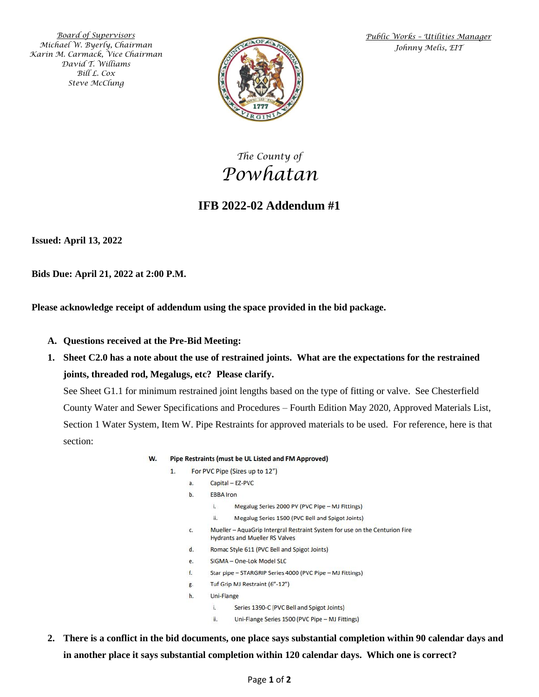*Board of Supervisors Michael W. Byerly, Chairman Karin M. Carmack, Vice Chairman David T. Williams Bill L. Cox Steve McClung*



*Public Works – Utilities Manager Johnny Melis, EIT*

## *The County of Powhatan*

### **IFB 2022-02 Addendum #1**

**Issued: April 13, 2022**

**Bids Due: April 21, 2022 at 2:00 P.M.**

**Please acknowledge receipt of addendum using the space provided in the bid package.**

- **A. Questions received at the Pre-Bid Meeting:**
- **1. Sheet C2.0 has a note about the use of restrained joints. What are the expectations for the restrained joints, threaded rod, Megalugs, etc? Please clarify.**

See Sheet G1.1 for minimum restrained joint lengths based on the type of fitting or valve. See Chesterfield County Water and Sewer Specifications and Procedures – Fourth Edition May 2020, Approved Materials List, Section 1 Water System, Item W. Pipe Restraints for approved materials to be used. For reference, here is that section:

- W. Pipe Restraints (must be UL Listed and FM Approved)
	- $\mathbf{1}$ For PVC Pipe (Sizes up to 12")
		- $a^2$ Capital - EZ-PVC
		- $h$ **EBBA** Iron
		- $\mathbf{L}$ Megalug Series 2000 PV (PVC Pipe - MJ Fittings) ii. Megalug Series 1500 (PVC Bell and Spigot Joints) Mueller - AquaGrip Intergral Restraint System for use on the Centurion Fire c. **Hydrants and Mueller RS Valves**  $\mathsf{d}$ . Romac Style 611 (PVC Bell and Spigot Joints) SIGMA - One-Lok Model SLC  $\rho$ . Star pipe - STARGRIP Series 4000 (PVC Pipe - MJ Fittings)  $f_{\rm c}$ Tuf Grip MJ Restraint (6"-12")  $\sigma$ . Uni-Flange  $h$ 
			- i. Series 1390-C (PVC Bell and Spigot Joints)
			- ii. Uni-Flange Series 1500 (PVC Pipe - MJ Fittings)
- **2. There is a conflict in the bid documents, one place says substantial completion within 90 calendar days and in another place it says substantial completion within 120 calendar days. Which one is correct?**